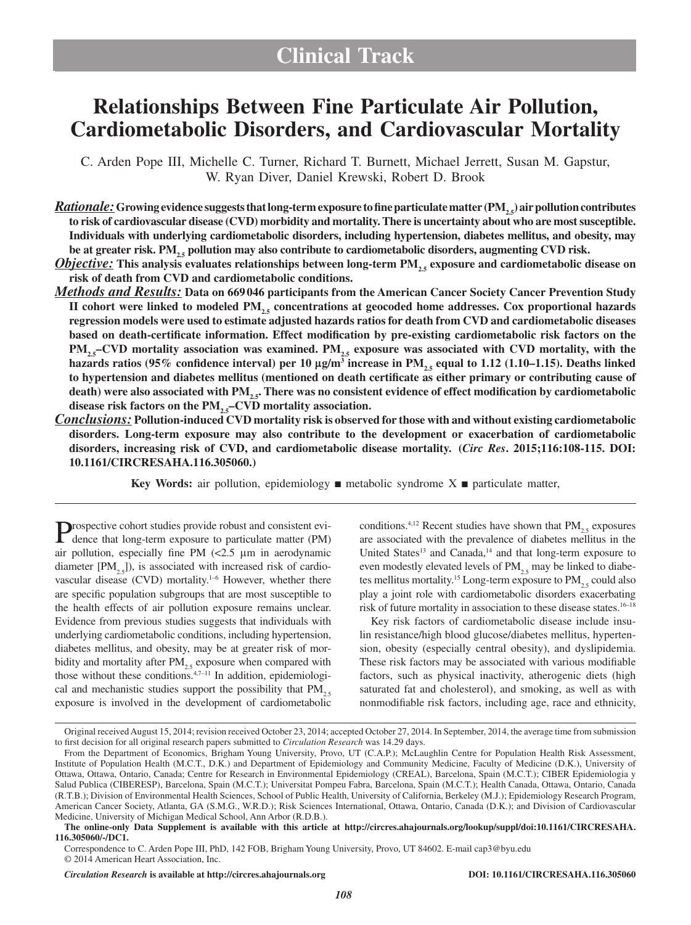# **Relationships Between Fine Particulate Air Pollution, Cardiometabolic Disorders, and Cardiovascular Mortality**

C. Arden Pope III, Michelle C. Turner, Richard T. Burnett, Michael Jerrett, Susan M. Gapstur, W. Ryan Diver, Daniel Krewski, Robert D. Brook

*Rationale:* Growing evidence suggests that long-term exposure to fine particulate matter (PM<sub>20</sub>) air pollution contributes **to risk of cardiovascular disease (CVD) morbidity and mortality. There is uncertainty about who are most susceptible. Individuals with underlying cardiometabolic disorders, including hypertension, diabetes mellitus, and obesity, may**  be at greater risk. PM<sub>25</sub> pollution may also contribute to cardiometabolic disorders, augmenting CVD risk.

*Objective:* This analysis evaluates relationships between long-term PM<sub>2.5</sub> exposure and cardiometabolic disease on **risk of death from CVD and cardiometabolic conditions.**

- *Methods and Results:* **Data on 669046 participants from the American Cancer Society Cancer Prevention Study**  II cohort were linked to modeled PM<sub>25</sub> concentrations at geocoded home addresses. Cox proportional hazards **regression models were used to estimate adjusted hazards ratios for death from CVD and cardiometabolic diseases based on death-certificate information. Effect modification by pre-existing cardiometabolic risk factors on the PM<sub>25</sub>–CVD mortality association was examined. PM<sub>25</sub> exposure was associated with CVD mortality, with the hazards ratios (95% confidence interval) per 10 μg/m<sup>3</sup> increase in PM<sub>2.5</sub> equal to 1.12 (1.10–1.15). Deaths linked to hypertension and diabetes mellitus (mentioned on death certificate as either primary or contributing cause of**  death) were also associated with PM<sub>25</sub>. There was no consistent evidence of effect modification by cardiometabolic disease risk factors on the PM<sub>25</sub>–CVD mortality association.
- *Conclusions:* **Pollution-induced CVD mortality risk is observed for those with and without existing cardiometabolic disorders. Long-term exposure may also contribute to the development or exacerbation of cardiometabolic disorders, increasing risk of CVD, and cardiometabolic disease mortality. (***Circ Res***. 2015;116:108-115. DOI: 10.1161/CIRCRESAHA.116.305060.)**

**Key Words:** air pollution, epidemiology ■ metabolic syndrome X ■ particulate matter,

Prospective cohort studies provide robust and consistent evi-dence that long-term exposure to particulate matter (PM) air pollution, especially fine PM (<2.5 μm in aerodynamic diameter  $[PM_{25}]$ , is associated with increased risk of cardiovascular disease (CVD) mortality.<sup>1-6</sup> However, whether there are specific population subgroups that are most susceptible to the health effects of air pollution exposure remains unclear. Evidence from previous studies suggests that individuals with underlying cardiometabolic conditions, including hypertension, diabetes mellitus, and obesity, may be at greater risk of morbidity and mortality after  $PM_{2.5}$  exposure when compared with those without these conditions. $4,7-11$  In addition, epidemiological and mechanistic studies support the possibility that  $PM_{2.5}$ exposure is involved in the development of cardiometabolic

conditions.<sup>4,12</sup> Recent studies have shown that  $PM_{2.5}$  exposures are associated with the prevalence of diabetes mellitus in the United States<sup>13</sup> and Canada,<sup>14</sup> and that long-term exposure to even modestly elevated levels of  $PM_{2.5}$  may be linked to diabetes mellitus mortality.<sup>15</sup> Long-term exposure to  $PM$ <sub>2,5</sub> could also play a joint role with cardiometabolic disorders exacerbating risk of future mortality in association to these disease states.16–18

Key risk factors of cardiometabolic disease include insulin resistance/high blood glucose/diabetes mellitus, hypertension, obesity (especially central obesity), and dyslipidemia. These risk factors may be associated with various modifiable factors, such as physical inactivity, atherogenic diets (high saturated fat and cholesterol), and smoking, as well as with nonmodifiable risk factors, including age, race and ethnicity,

Original received August 15, 2014; revision received October 23, 2014; accepted October 27, 2014. In September, 2014, the average time from submission to first decision for all original research papers submitted to *Circulation Research* was 14.29 days.

From the Department of Economics, Brigham Young University, Provo, UT (C.A.P.); McLaughlin Centre for Population Health Risk Assessment, Institute of Population Health (M.C.T., D.K.) and Department of Epidemiology and Community Medicine, Faculty of Medicine (D.K.), University of Ottawa, Ottawa, Ontario, Canada; Centre for Research in Environmental Epidemiology (CREAL), Barcelona, Spain (M.C.T.); CIBER Epidemiologia y Salud Publica (CIBERESP), Barcelona, Spain (M.C.T.); Universitat Pompeu Fabra, Barcelona, Spain (M.C.T.); Health Canada, Ottawa, Ontario, Canada (R.T.B.); Division of Environmental Health Sciences, School of Public Health, University of California, Berkeley (M.J.); Epidemiology Research Program, American Cancer Society, Atlanta, GA (S.M.G., W.R.D.); Risk Sciences International, Ottawa, Ontario, Canada (D.K.); and Division of Cardiovascular Medicine, University of Michigan Medical School, Ann Arbor (R.D.B.).

**The online-only Data Supplement is available with this article at [http://circres.ahajournals.org/lookup/suppl/doi:10.1161/CIRCRESAHA.](http://circres.ahajournals.org/lookup/suppl/doi:10.1161/CIRCRESAHA.116.305060/-/DC1) [116.305060/-/DC1](http://circres.ahajournals.org/lookup/suppl/doi:10.1161/CIRCRESAHA.116.305060/-/DC1).**

<sup>© 2014</sup> American Heart Association, Inc. Correspondence to C. Arden Pope III, PhD, 142 FOB, Brigham Young University, Provo, UT 84602. E-mail [cap3@byu.edu](mailto:cap3@byu.edu)

*Circulation Research* **is available at http://circres.ahajournals.org DOI: 10.1161/CIRCRESAHA.116.305060**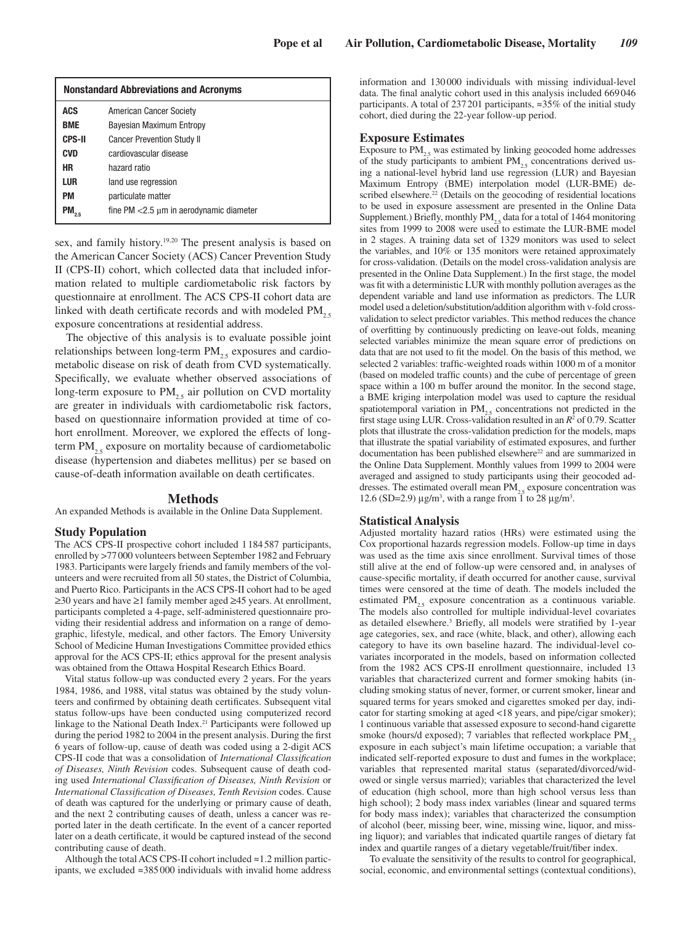| <b>Nonstandard Abbreviations and Acronyms</b> |                                               |  |  |  |  |
|-----------------------------------------------|-----------------------------------------------|--|--|--|--|
| <b>ACS</b>                                    | American Cancer Society                       |  |  |  |  |
| <b>BME</b>                                    | Bayesian Maximum Entropy                      |  |  |  |  |
| <b>CPS-II</b>                                 | <b>Cancer Prevention Study II</b>             |  |  |  |  |
| <b>CVD</b>                                    | cardiovascular disease                        |  |  |  |  |
| <b>HR</b>                                     | hazard ratio                                  |  |  |  |  |
| LUR                                           | land use regression                           |  |  |  |  |
| PM                                            | particulate matter                            |  |  |  |  |
| PM                                            | fine $PM < 2.5 \mu m$ in aerodynamic diameter |  |  |  |  |

sex, and family history.<sup>19,20</sup> The present analysis is based on the American Cancer Society (ACS) Cancer Prevention Study II (CPS-II) cohort, which collected data that included information related to multiple cardiometabolic risk factors by questionnaire at enrollment. The ACS CPS-II cohort data are linked with death certificate records and with modeled  $PM_{2.5}$ exposure concentrations at residential address.

The objective of this analysis is to evaluate possible joint relationships between long-term  $PM_{25}$  exposures and cardiometabolic disease on risk of death from CVD systematically. Specifically, we evaluate whether observed associations of long-term exposure to  $PM<sub>2.5</sub>$  air pollution on CVD mortality are greater in individuals with cardiometabolic risk factors, based on questionnaire information provided at time of cohort enrollment. Moreover, we explored the effects of longterm  $PM_{25}$  exposure on mortality because of cardiometabolic disease (hypertension and diabetes mellitus) per se based on cause-of-death information available on death certificates.

#### **Methods**

An expanded Methods is available in the Online Data Supplement.

#### **Study Population**

The ACS CPS-II prospective cohort included 1184587 participants, enrolled by >77000 volunteers between September 1982 and February 1983. Participants were largely friends and family members of the volunteers and were recruited from all 50 states, the District of Columbia, and Puerto Rico. Participants in the ACS CPS-II cohort had to be aged ≥30 years and have ≥1 family member aged ≥45 years. At enrollment, participants completed a 4-page, self-administered questionnaire providing their residential address and information on a range of demographic, lifestyle, medical, and other factors. The Emory University School of Medicine Human Investigations Committee provided ethics approval for the ACS CPS-II; ethics approval for the present analysis was obtained from the Ottawa Hospital Research Ethics Board.

Vital status follow-up was conducted every 2 years. For the years 1984, 1986, and 1988, vital status was obtained by the study volunteers and confirmed by obtaining death certificates. Subsequent vital status follow-ups have been conducted using computerized record linkage to the National Death Index.<sup>21</sup> Participants were followed up during the period 1982 to 2004 in the present analysis. During the first 6 years of follow-up, cause of death was coded using a 2-digit ACS CPS-II code that was a consolidation of *International Classification of Diseases, Ninth Revision* codes. Subsequent cause of death coding used *International Classification of Diseases, Ninth Revision* or *International Classification of Diseases, Tenth Revision* codes. Cause of death was captured for the underlying or primary cause of death, and the next 2 contributing causes of death, unless a cancer was reported later in the death certificate. In the event of a cancer reported later on a death certificate, it would be captured instead of the second contributing cause of death.

Although the total ACS CPS-II cohort included ≈1.2 million participants, we excluded ≈385 000 individuals with invalid home address information and 130 000 individuals with missing individual-level data. The final analytic cohort used in this analysis included 669 046 participants. A total of 237201 participants, ≈35% of the initial study cohort, died during the 22-year follow-up period.

## **Exposure Estimates**

Exposure to  $PM_{25}$  was estimated by linking geocoded home addresses of the study participants to ambient  $PM_{25}$  concentrations derived using a national-level hybrid land use regression (LUR) and Bayesian Maximum Entropy (BME) interpolation model (LUR-BME) described elsewhere.<sup>22</sup> (Details on the geocoding of residential locations to be used in exposure assessment are presented in the Online Data Supplement.) Briefly, monthly  $PM_{25}$  data for a total of 1464 monitoring sites from 1999 to 2008 were used to estimate the LUR-BME model in 2 stages. A training data set of 1329 monitors was used to select the variables, and 10% or 135 monitors were retained approximately for cross-validation. (Details on the model cross-validation analysis are presented in the Online Data Supplement.) In the first stage, the model was fit with a deterministic LUR with monthly pollution averages as the dependent variable and land use information as predictors. The LUR model used a deletion/substitution/addition algorithm with v-fold crossvalidation to select predictor variables. This method reduces the chance of overfitting by continuously predicting on leave-out folds, meaning selected variables minimize the mean square error of predictions on data that are not used to fit the model. On the basis of this method, we selected 2 variables: traffic-weighted roads within 1000 m of a monitor (based on modeled traffic counts) and the cube of percentage of green space within a 100 m buffer around the monitor. In the second stage, a BME kriging interpolation model was used to capture the residual spatiotemporal variation in  $PM<sub>2.5</sub>$  concentrations not predicted in the first stage using LUR. Cross-validation resulted in an  $R^2$  of 0.79. Scatter plots that illustrate the cross-validation prediction for the models, maps that illustrate the spatial variability of estimated exposures, and further documentation has been published elsewhere<sup>22</sup> and are summarized in the Online Data Supplement. Monthly values from 1999 to 2004 were averaged and assigned to study participants using their geocoded addresses. The estimated overall mean  $PM<sub>2.5</sub>$  exposure concentration was 12.6 (SD=2.9)  $\mu$ g/m<sup>3</sup>, with a range from 1 to 28  $\mu$ g/m<sup>3</sup>.

### **Statistical Analysis**

Adjusted mortality hazard ratios (HRs) were estimated using the Cox proportional hazards regression models. Follow-up time in days was used as the time axis since enrollment. Survival times of those still alive at the end of follow-up were censored and, in analyses of cause-specific mortality, if death occurred for another cause, survival times were censored at the time of death. The models included the estimated  $PM_{2.5}$  exposure concentration as a continuous variable. The models also controlled for multiple individual-level covariates as detailed elsewhere.<sup>3</sup> Briefly, all models were stratified by 1-year age categories, sex, and race (white, black, and other), allowing each category to have its own baseline hazard. The individual-level covariates incorporated in the models, based on information collected from the 1982 ACS CPS-II enrollment questionnaire, included 13 variables that characterized current and former smoking habits (including smoking status of never, former, or current smoker, linear and squared terms for years smoked and cigarettes smoked per day, indicator for starting smoking at aged <18 years, and pipe/cigar smoker); 1 continuous variable that assessed exposure to second-hand cigarette smoke (hours/d exposed); 7 variables that reflected workplace  $PM$ <sub>2.5</sub> exposure in each subject's main lifetime occupation; a variable that indicated self-reported exposure to dust and fumes in the workplace; variables that represented marital status (separated/divorced/widowed or single versus married); variables that characterized the level of education (high school, more than high school versus less than high school); 2 body mass index variables (linear and squared terms for body mass index); variables that characterized the consumption of alcohol (beer, missing beer, wine, missing wine, liquor, and missing liquor); and variables that indicated quartile ranges of dietary fat index and quartile ranges of a dietary vegetable/fruit/fiber index.

To evaluate the sensitivity of the results to control for geographical, social, economic, and environmental settings (contextual conditions),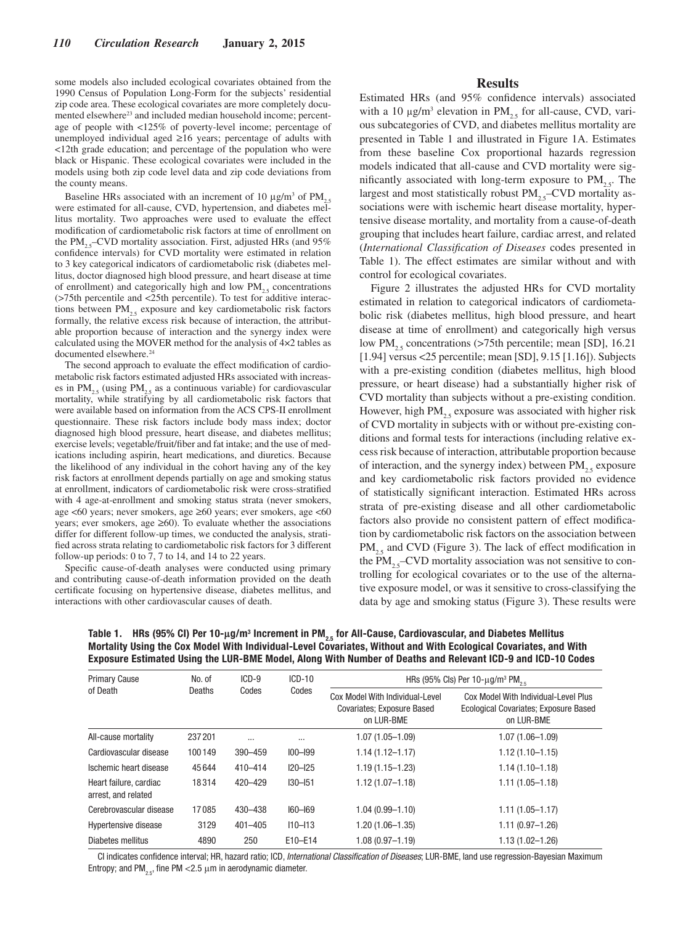some models also included ecological covariates obtained from the 1990 Census of Population Long-Form for the subjects' residential zip code area. These ecological covariates are more completely documented elsewhere<sup>23</sup> and included median household income; percentage of people with <125% of poverty-level income; percentage of unemployed individual aged ≥16 years; percentage of adults with <12th grade education; and percentage of the population who were black or Hispanic. These ecological covariates were included in the models using both zip code level data and zip code deviations from the county means.

Baseline HRs associated with an increment of 10  $\mu$ g/m<sup>3</sup> of PM<sub>2.5</sub> were estimated for all-cause, CVD, hypertension, and diabetes mellitus mortality. Two approaches were used to evaluate the effect modification of cardiometabolic risk factors at time of enrollment on the PM<sub>25</sub>–CVD mortality association. First, adjusted HRs (and  $95\%$ ) confidence intervals) for CVD mortality were estimated in relation to 3 key categorical indicators of cardiometabolic risk (diabetes mellitus, doctor diagnosed high blood pressure, and heart disease at time of enrollment) and categorically high and low  $PM_{2.5}$  concentrations (>75th percentile and <25th percentile). To test for additive interactions between  $PM_{2,5}$  exposure and key cardiometabolic risk factors formally, the relative excess risk because of interaction, the attributable proportion because of interaction and the synergy index were calculated using the MOVER method for the analysis of 4×2 tables as documented elsewhere.<sup>24</sup>

The second approach to evaluate the effect modification of cardiometabolic risk factors estimated adjusted HRs associated with increases in  $PM_{25}$  (using  $PM_{25}$  as a continuous variable) for cardiovascular mortality, while stratifying by all cardiometabolic risk factors that were available based on information from the ACS CPS-II enrollment questionnaire. These risk factors include body mass index; doctor diagnosed high blood pressure, heart disease, and diabetes mellitus; exercise levels; vegetable/fruit/fiber and fat intake; and the use of medications including aspirin, heart medications, and diuretics. Because the likelihood of any individual in the cohort having any of the key risk factors at enrollment depends partially on age and smoking status at enrollment, indicators of cardiometabolic risk were cross-stratified with 4 age-at-enrollment and smoking status strata (never smokers, age <60 years; never smokers, age ≥60 years; ever smokers, age <60 years; ever smokers, age  $\geq 60$ ). To evaluate whether the associations differ for different follow-up times, we conducted the analysis, stratified across strata relating to cardiometabolic risk factors for 3 different follow-up periods: 0 to 7, 7 to 14, and 14 to 22 years.

Specific cause-of-death analyses were conducted using primary and contributing cause-of-death information provided on the death certificate focusing on hypertensive disease, diabetes mellitus, and interactions with other cardiovascular causes of death.

## **Results**

Estimated HRs (and 95% confidence intervals) associated with a 10  $\mu$ g/m<sup>3</sup> elevation in PM<sub>2.5</sub> for all-cause, CVD, various subcategories of CVD, and diabetes mellitus mortality are presented in Table 1 and illustrated in Figure 1A. Estimates from these baseline Cox proportional hazards regression models indicated that all-cause and CVD mortality were significantly associated with long-term exposure to  $PM_{2.5}$ . The largest and most statistically robust  $PM_{25}$ –CVD mortality associations were with ischemic heart disease mortality, hypertensive disease mortality, and mortality from a cause-of-death grouping that includes heart failure, cardiac arrest, and related (*International Classification of Diseases* codes presented in Table 1). The effect estimates are similar without and with control for ecological covariates.

Figure 2 illustrates the adjusted HRs for CVD mortality estimated in relation to categorical indicators of cardiometabolic risk (diabetes mellitus, high blood pressure, and heart disease at time of enrollment) and categorically high versus low PM<sub>25</sub> concentrations (>75th percentile; mean [SD], 16.21 [1.94] versus <25 percentile; mean [SD], 9.15 [1.16]). Subjects with a pre-existing condition (diabetes mellitus, high blood pressure, or heart disease) had a substantially higher risk of CVD mortality than subjects without a pre-existing condition. However, high  $PM_{25}$  exposure was associated with higher risk of CVD mortality in subjects with or without pre-existing conditions and formal tests for interactions (including relative excess risk because of interaction, attributable proportion because of interaction, and the synergy index) between  $PM_{25}$  exposure and key cardiometabolic risk factors provided no evidence of statistically significant interaction. Estimated HRs across strata of pre-existing disease and all other cardiometabolic factors also provide no consistent pattern of effect modification by cardiometabolic risk factors on the association between  $PM_{2.5}$  and CVD (Figure 3). The lack of effect modification in the  $PM_{25}$ –CVD mortality association was not sensitive to controlling for ecological covariates or to the use of the alternative exposure model, or was it sensitive to cross-classifying the data by age and smoking status (Figure 3). These results were

Table 1. HRs (95% Cl) Per 10-μg/m<sup>3</sup> Increment in PM<sub>2.5</sub> for All-Cause, Cardiovascular, and Diabetes Mellitus Mortality Using the Cox Model With Individual-Level Covariates, Without and With Ecological Covariates, and With Exposure Estimated Using the LUR-BME Model, Along With Number of Deaths and Relevant ICD-9 and ICD-10 Codes

| <b>Primary Cause</b>                          | No. of<br>Deaths | $ICD-9$<br>Codes | $ICD-10$<br>Codes | HRs (95% Cls) Per 10- $\mu$ g/m <sup>3</sup> PM <sub>2.5</sub>              |                                                                                             |  |
|-----------------------------------------------|------------------|------------------|-------------------|-----------------------------------------------------------------------------|---------------------------------------------------------------------------------------------|--|
| of Death                                      |                  |                  |                   | Cox Model With Individual-Level<br>Covariates; Exposure Based<br>on LUR-BME | Cox Model With Individual-Level Plus<br>Ecological Covariates; Exposure Based<br>on LUR-BME |  |
| All-cause mortality                           | 237201           | $\cdots$         | $\cdots$          | $1.07(1.05 - 1.09)$                                                         | $1.07(1.06 - 1.09)$                                                                         |  |
| Cardiovascular disease                        | 100149           | 390-459          | $100 - 199$       | $1.14(1.12 - 1.17)$                                                         | $1.12(1.10 - 1.15)$                                                                         |  |
| Ischemic heart disease                        | 45644            | 410-414          | $120 - 125$       | $1.19(1.15 - 1.23)$                                                         | $1.14(1.10 - 1.18)$                                                                         |  |
| Heart failure, cardiac<br>arrest, and related | 18314            | 420-429          | $130 - 151$       | $1.12(1.07 - 1.18)$                                                         | $1.11(1.05 - 1.18)$                                                                         |  |
| Cerebrovascular disease                       | 17085            | 430-438          | $160 - 169$       | $1.04(0.99 - 1.10)$                                                         | $1.11(1.05 - 1.17)$                                                                         |  |
| <b>Hypertensive disease</b>                   | 3129             | $401 - 405$      | $110 - 113$       | $1.20(1.06 - 1.35)$                                                         | $1.11(0.97 - 1.26)$                                                                         |  |
| Diabetes mellitus                             | 4890             | 250              | E10-E14           | $1.08(0.97 - 1.19)$                                                         | $1.13(1.02 - 1.26)$                                                                         |  |

CI indicates confidence interval; HR, hazard ratio; ICD, *International Classification of Diseases*; LUR-BME, land use regression-Bayesian Maximum Entropy; and PM<sub>2.5</sub>, fine PM <2.5  $\mu$ m in aerodynamic diameter.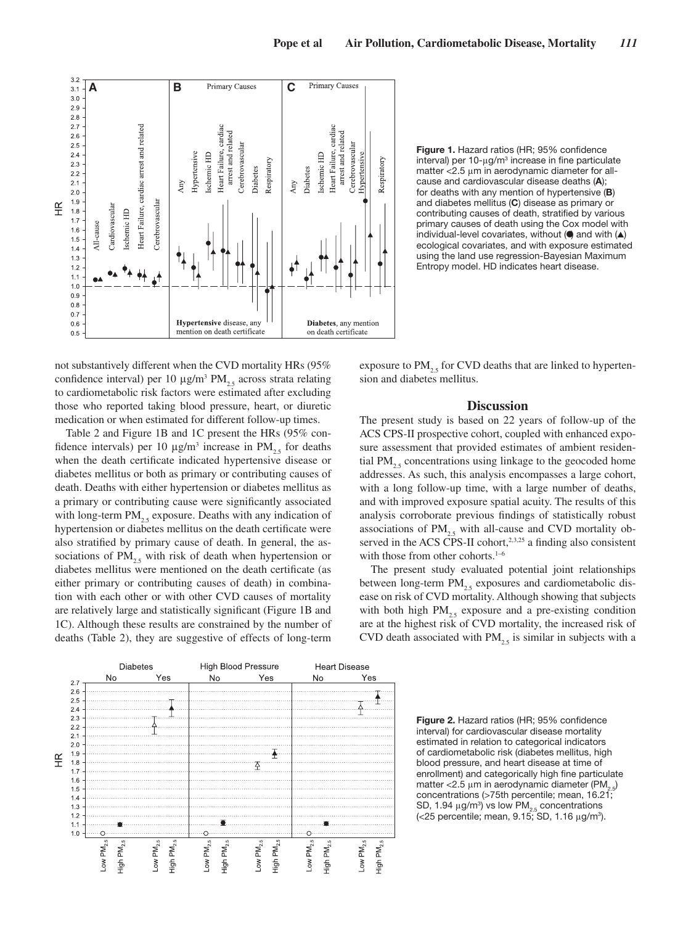

Figure 1. Hazard ratios (HR; 95% confidence interval) per  $10$ - $\mu$ g/m<sup>3</sup> increase in fine particulate matter <2.5 μm in aerodynamic diameter for allcause and cardiovascular disease deaths (A); for deaths with any mention of hypertensive (B) and diabetes mellitus (C) disease as primary or contributing causes of death, stratified by various primary causes of death using the Cox model with individual-level covariates, without  $\left(\bigcirc$  and with  $\left(\triangle\right)\right)$ ecological covariates, and with exposure estimated using the land use regression-Bayesian Maximum Entropy model. HD indicates heart disease.

not substantively different when the CVD mortality HRs (95% confidence interval) per 10  $\mu$ g/m<sup>3</sup> PM<sub>2.5</sub> across strata relating to cardiometabolic risk factors were estimated after excluding those who reported taking blood pressure, heart, or diuretic medication or when estimated for different follow-up times.

Table 2 and Figure 1B and 1C present the HRs (95% confidence intervals) per 10  $\mu$ g/m<sup>3</sup> increase in PM<sub>2.5</sub> for deaths when the death certificate indicated hypertensive disease or diabetes mellitus or both as primary or contributing causes of death. Deaths with either hypertension or diabetes mellitus as a primary or contributing cause were significantly associated with long-term  $PM_{2,5}$  exposure. Deaths with any indication of hypertension or diabetes mellitus on the death certificate were also stratified by primary cause of death. In general, the associations of  $PM_{2.5}$  with risk of death when hypertension or diabetes mellitus were mentioned on the death certificate (as either primary or contributing causes of death) in combination with each other or with other CVD causes of mortality are relatively large and statistically significant (Figure 1B and 1C). Although these results are constrained by the number of deaths (Table 2), they are suggestive of effects of long-term

exposure to  $PM_{2,5}$  for CVD deaths that are linked to hypertension and diabetes mellitus.

## **Discussion**

The present study is based on 22 years of follow-up of the ACS CPS-II prospective cohort, coupled with enhanced exposure assessment that provided estimates of ambient residential  $PM_{25}$  concentrations using linkage to the geocoded home addresses. As such, this analysis encompasses a large cohort, with a long follow-up time, with a large number of deaths, and with improved exposure spatial acuity. The results of this analysis corroborate previous findings of statistically robust associations of  $PM_{2.5}$  with all-cause and CVD mortality observed in the ACS CPS-II cohort,<sup>2,3,25</sup> a finding also consistent with those from other cohorts.<sup>1-6</sup>

The present study evaluated potential joint relationships between long-term  $PM<sub>2.5</sub>$  exposures and cardiometabolic disease on risk of CVD mortality. Although showing that subjects with both high  $PM<sub>25</sub>$  exposure and a pre-existing condition are at the highest risk of CVD mortality, the increased risk of CVD death associated with  $PM_{2.5}$  is similar in subjects with a



Figure 2. Hazard ratios (HR; 95% confidence interval) for cardiovascular disease mortality estimated in relation to categorical indicators of cardiometabolic risk (diabetes mellitus, high blood pressure, and heart disease at time of enrollment) and categorically high fine particulate matter <2.5  $\mu$ m in aerodynamic diameter (PM<sub>2.5</sub>) concentrations (>75th percentile; mean, 16.21; SD, 1.94  $\mu$ g/m<sup>3</sup>) vs low PM<sub>2.5</sub> concentrations (<25 percentile; mean, 9.15; SD, 1.16 μg/m3 ).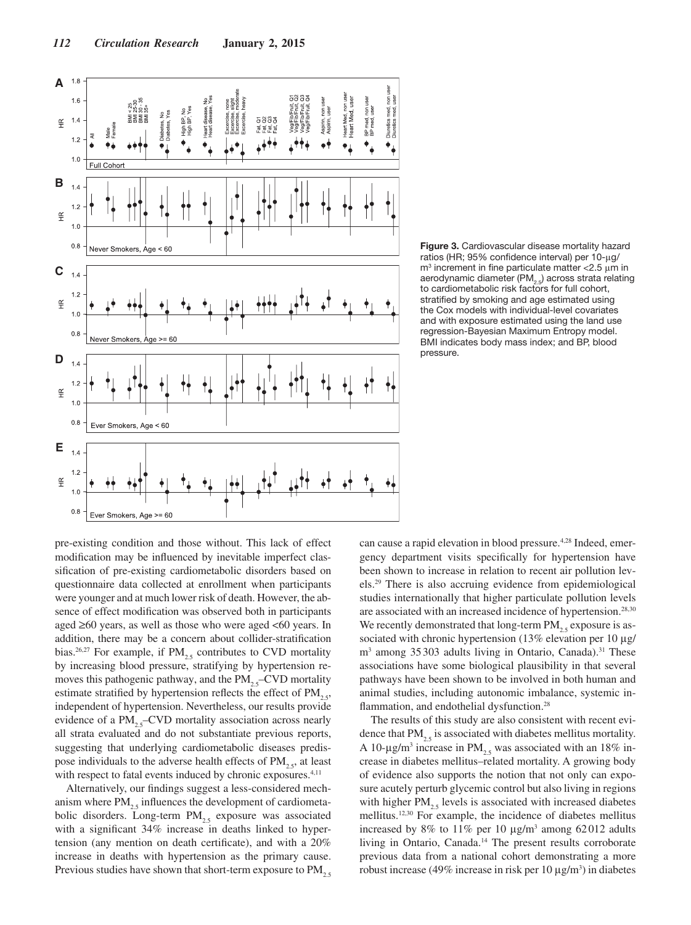

Figure 3. Cardiovascular disease mortality hazard ratios (HR; 95% confidence interval) per 10-μg/  $m<sup>3</sup>$  increment in fine particulate matter < 2.5  $μ$ m in aerodynamic diameter (PM $_{2.5}$ ) across strata relating to cardiometabolic risk factors for full cohort, stratified by smoking and age estimated using the Cox models with individual-level covariates and with exposure estimated using the land use regression-Bayesian Maximum Entropy model. BMI indicates body mass index; and BP, blood pressure.

pre-existing condition and those without. This lack of effect modification may be influenced by inevitable imperfect classification of pre-existing cardiometabolic disorders based on questionnaire data collected at enrollment when participants were younger and at much lower risk of death. However, the absence of effect modification was observed both in participants aged  $\geq 60$  years, as well as those who were aged  $\leq 60$  years. In addition, there may be a concern about collider-stratification bias.<sup>26,27</sup> For example, if  $PM_{25}$  contributes to CVD mortality by increasing blood pressure, stratifying by hypertension removes this pathogenic pathway, and the  $PM_{2.5}$ –CVD mortality estimate stratified by hypertension reflects the effect of  $PM$ <sub>2.5</sub>, independent of hypertension. Nevertheless, our results provide evidence of a  $PM_{25}$ –CVD mortality association across nearly all strata evaluated and do not substantiate previous reports, suggesting that underlying cardiometabolic diseases predispose individuals to the adverse health effects of  $PM_{2,5}$ , at least with respect to fatal events induced by chronic exposures.<sup>4,11</sup>

Alternatively, our findings suggest a less-considered mechanism where  $PM_{2.5}$  influences the development of cardiometabolic disorders. Long-term  $PM_{25}$  exposure was associated with a significant 34% increase in deaths linked to hypertension (any mention on death certificate), and with a 20% increase in deaths with hypertension as the primary cause. Previous studies have shown that short-term exposure to  $PM_{2.5}$  can cause a rapid elevation in blood pressure.4,28 Indeed, emergency department visits specifically for hypertension have been shown to increase in relation to recent air pollution levels.29 There is also accruing evidence from epidemiological studies internationally that higher particulate pollution levels are associated with an increased incidence of hypertension.<sup>28,30</sup> We recently demonstrated that long-term  $PM<sub>2.5</sub>$  exposure is associated with chronic hypertension (13% elevation per 10 μg/ m<sup>3</sup> among 35303 adults living in Ontario, Canada).<sup>31</sup> These associations have some biological plausibility in that several pathways have been shown to be involved in both human and animal studies, including autonomic imbalance, systemic inflammation, and endothelial dysfunction.<sup>28</sup>

The results of this study are also consistent with recent evidence that  $PM_{2.5}$  is associated with diabetes mellitus mortality. A 10- $\mu$ g/m<sup>3</sup> increase in PM<sub>2.5</sub> was associated with an 18% increase in diabetes mellitus–related mortality. A growing body of evidence also supports the notion that not only can exposure acutely perturb glycemic control but also living in regions with higher  $PM_{2.5}$  levels is associated with increased diabetes mellitus.12,30 For example, the incidence of diabetes mellitus increased by  $8\%$  to  $11\%$  per 10  $\mu$ g/m<sup>3</sup> among 62012 adults living in Ontario, Canada.14 The present results corroborate previous data from a national cohort demonstrating a more robust increase (49% increase in risk per  $10 \mu g/m^3$ ) in diabetes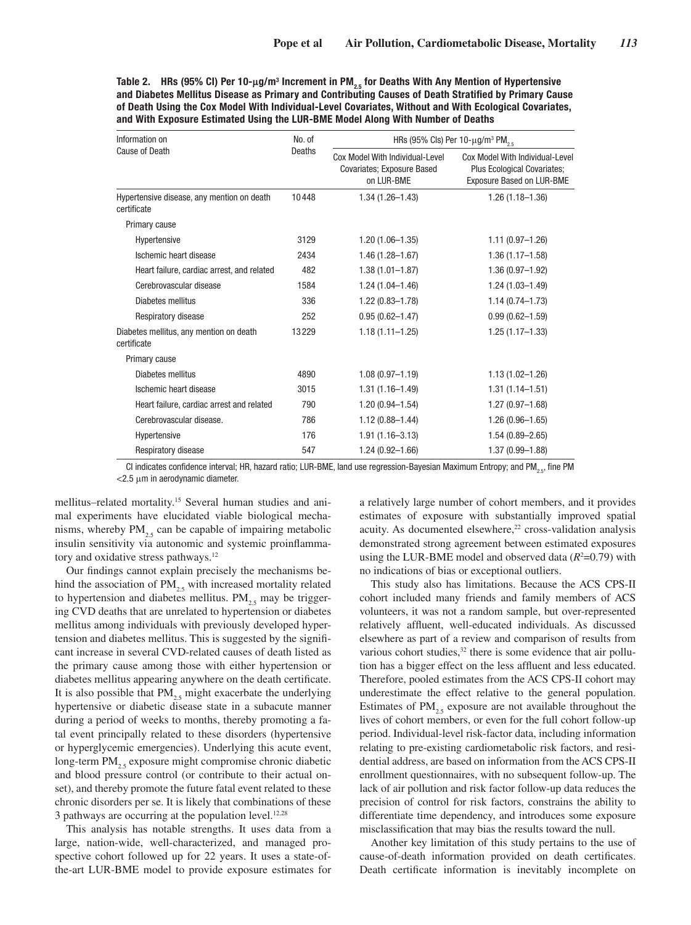Table 2. HRs (95% Cl) Per 10-μg/m<sup>3</sup> Increment in PM<sub>2.5</sub> for Deaths With Any Mention of Hypertensive and Diabetes Mellitus Disease as Primary and Contributing Causes of Death Stratified by Primary Cause of Death Using the Cox Model With Individual-Level Covariates, Without and With Ecological Covariates, and With Exposure Estimated Using the LUR-BME Model Along With Number of Deaths

| Information on                                            | No. of<br>Deaths | HRs (95% Cls) Per 10- $\mu$ g/m <sup>3</sup> PM <sub>25</sub>               |                                                                                             |  |
|-----------------------------------------------------------|------------------|-----------------------------------------------------------------------------|---------------------------------------------------------------------------------------------|--|
| Cause of Death                                            |                  | Cox Model With Individual-Level<br>Covariates; Exposure Based<br>on LUR-BME | Cox Model With Individual-Level<br>Plus Ecological Covariates;<br>Exposure Based on LUR-BME |  |
| Hypertensive disease, any mention on death<br>certificate | 10448            | $1.34(1.26 - 1.43)$                                                         | $1.26(1.18 - 1.36)$                                                                         |  |
| Primary cause                                             |                  |                                                                             |                                                                                             |  |
| Hypertensive                                              | 3129             | $1.20(1.06 - 1.35)$                                                         | $1.11(0.97 - 1.26)$                                                                         |  |
| Ischemic heart disease                                    | 2434             | 1.46 (1.28-1.67)                                                            | $1.36(1.17 - 1.58)$                                                                         |  |
| Heart failure, cardiac arrest, and related                | 482              | $1.38(1.01 - 1.87)$                                                         | $1.36(0.97 - 1.92)$                                                                         |  |
| Cerebrovascular disease                                   | 1584             | $1.24(1.04 - 1.46)$                                                         | $1.24(1.03 - 1.49)$                                                                         |  |
| Diabetes mellitus                                         | 336              | $1.22(0.83 - 1.78)$                                                         | $1.14(0.74 - 1.73)$                                                                         |  |
| Respiratory disease                                       | 252              | $0.95(0.62 - 1.47)$                                                         | $0.99(0.62 - 1.59)$                                                                         |  |
| Diabetes mellitus, any mention on death<br>certificate    | 13229            | $1.18(1.11 - 1.25)$                                                         | $1.25(1.17 - 1.33)$                                                                         |  |
| Primary cause                                             |                  |                                                                             |                                                                                             |  |
| Diabetes mellitus                                         | 4890             | $1.08(0.97 - 1.19)$                                                         | $1.13(1.02 - 1.26)$                                                                         |  |
| Ischemic heart disease                                    | 3015             | $1.31(1.16 - 1.49)$                                                         | $1.31(1.14 - 1.51)$                                                                         |  |
| Heart failure, cardiac arrest and related                 | 790              | $1.20(0.94 - 1.54)$                                                         | $1.27(0.97 - 1.68)$                                                                         |  |
| Cerebrovascular disease.                                  | 786              | $1.12(0.88 - 1.44)$                                                         | $1.26(0.96 - 1.65)$                                                                         |  |
| Hypertensive                                              | 176              | $1.91(1.16 - 3.13)$                                                         | $1.54(0.89 - 2.65)$                                                                         |  |
| Respiratory disease                                       | 547              | $1.24(0.92 - 1.66)$                                                         | 1.37 (0.99-1.88)                                                                            |  |

CI indicates confidence interval; HR, hazard ratio; LUR-BME, land use regression-Bayesian Maximum Entropy; and PM<sub>25</sub>, fine PM  $<$ 2.5  $\mu$ m in aerodynamic diameter.

mellitus–related mortality.15 Several human studies and animal experiments have elucidated viable biological mechanisms, whereby  $PM_{2,5}$  can be capable of impairing metabolic insulin sensitivity via autonomic and systemic proinflammatory and oxidative stress pathways.<sup>12</sup>

Our findings cannot explain precisely the mechanisms behind the association of  $PM_{2.5}$  with increased mortality related to hypertension and diabetes mellitus.  $PM_{25}$  may be triggering CVD deaths that are unrelated to hypertension or diabetes mellitus among individuals with previously developed hypertension and diabetes mellitus. This is suggested by the significant increase in several CVD-related causes of death listed as the primary cause among those with either hypertension or diabetes mellitus appearing anywhere on the death certificate. It is also possible that  $PM<sub>2.5</sub>$  might exacerbate the underlying hypertensive or diabetic disease state in a subacute manner during a period of weeks to months, thereby promoting a fatal event principally related to these disorders (hypertensive or hyperglycemic emergencies). Underlying this acute event, long-term  $PM_{25}$  exposure might compromise chronic diabetic and blood pressure control (or contribute to their actual onset), and thereby promote the future fatal event related to these chronic disorders per se. It is likely that combinations of these 3 pathways are occurring at the population level.<sup>12,28</sup>

This analysis has notable strengths. It uses data from a large, nation-wide, well-characterized, and managed prospective cohort followed up for 22 years. It uses a state-ofthe-art LUR-BME model to provide exposure estimates for a relatively large number of cohort members, and it provides estimates of exposure with substantially improved spatial acuity. As documented elsewhere, $22$  cross-validation analysis demonstrated strong agreement between estimated exposures using the LUR-BME model and observed data  $(R<sup>2</sup>=0.79)$  with no indications of bias or exceptional outliers.

This study also has limitations. Because the ACS CPS-II cohort included many friends and family members of ACS volunteers, it was not a random sample, but over-represented relatively affluent, well-educated individuals. As discussed elsewhere as part of a review and comparison of results from various cohort studies,<sup>32</sup> there is some evidence that air pollution has a bigger effect on the less affluent and less educated. Therefore, pooled estimates from the ACS CPS-II cohort may underestimate the effect relative to the general population. Estimates of  $PM_{25}$  exposure are not available throughout the lives of cohort members, or even for the full cohort follow-up period. Individual-level risk-factor data, including information relating to pre-existing cardiometabolic risk factors, and residential address, are based on information from the ACS CPS-II enrollment questionnaires, with no subsequent follow-up. The lack of air pollution and risk factor follow-up data reduces the precision of control for risk factors, constrains the ability to differentiate time dependency, and introduces some exposure misclassification that may bias the results toward the null.

Another key limitation of this study pertains to the use of cause-of-death information provided on death certificates. Death certificate information is inevitably incomplete on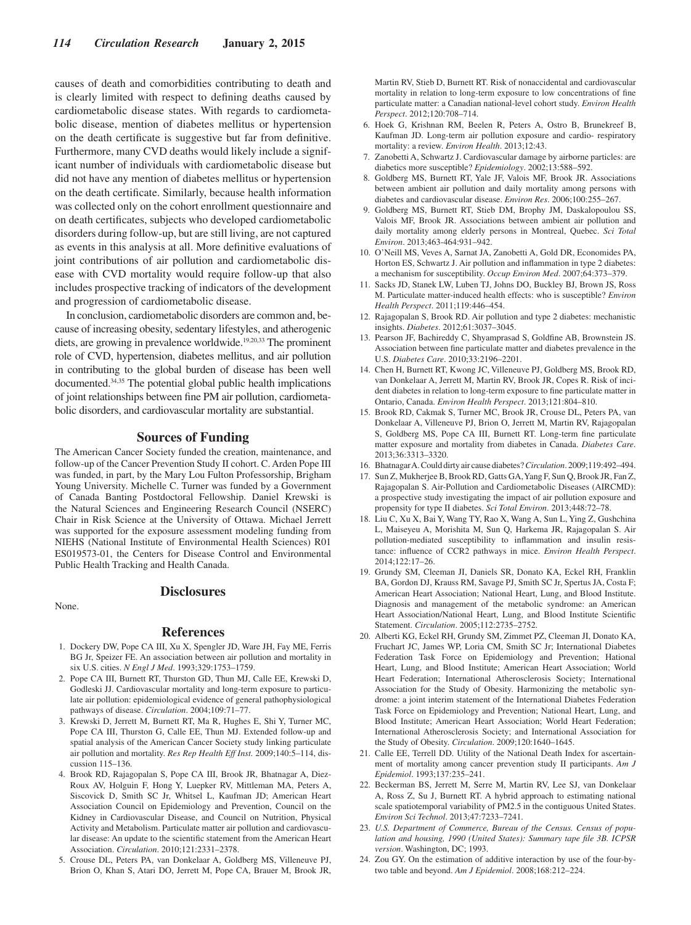causes of death and comorbidities contributing to death and is clearly limited with respect to defining deaths caused by cardiometabolic disease states. With regards to cardiometabolic disease, mention of diabetes mellitus or hypertension on the death certificate is suggestive but far from definitive. Furthermore, many CVD deaths would likely include a significant number of individuals with cardiometabolic disease but did not have any mention of diabetes mellitus or hypertension on the death certificate. Similarly, because health information was collected only on the cohort enrollment questionnaire and on death certificates, subjects who developed cardiometabolic disorders during follow-up, but are still living, are not captured as events in this analysis at all. More definitive evaluations of joint contributions of air pollution and cardiometabolic disease with CVD mortality would require follow-up that also includes prospective tracking of indicators of the development and progression of cardiometabolic disease.

In conclusion, cardiometabolic disorders are common and, because of increasing obesity, sedentary lifestyles, and atherogenic diets, are growing in prevalence worldwide.<sup>19,20,33</sup> The prominent role of CVD, hypertension, diabetes mellitus, and air pollution in contributing to the global burden of disease has been well documented.34,35 The potential global public health implications of joint relationships between fine PM air pollution, cardiometabolic disorders, and cardiovascular mortality are substantial.

## **Sources of Funding**

The American Cancer Society funded the creation, maintenance, and follow-up of the Cancer Prevention Study II cohort. C. Arden Pope III was funded, in part, by the Mary Lou Fulton Professorship, Brigham Young University. Michelle C. Turner was funded by a Government of Canada Banting Postdoctoral Fellowship. Daniel Krewski is the Natural Sciences and Engineering Research Council (NSERC) Chair in Risk Science at the University of Ottawa. Michael Jerrett was supported for the exposure assessment modeling funding from NIEHS (National Institute of Environmental Health Sciences) R01 ES019573-01, the Centers for Disease Control and Environmental Public Health Tracking and Health Canada.

None.

# **References**

**Disclosures**

- 1. Dockery DW, Pope CA III, Xu X, Spengler JD, Ware JH, Fay ME, Ferris BG Jr, Speizer FE. An association between air pollution and mortality in six U.S. cities. *N Engl J Med*. 1993;329:1753–1759.
- 2. Pope CA III, Burnett RT, Thurston GD, Thun MJ, Calle EE, Krewski D, Godleski JJ. Cardiovascular mortality and long-term exposure to particulate air pollution: epidemiological evidence of general pathophysiological pathways of disease. *Circulation*. 2004;109:71–77.
- 3. Krewski D, Jerrett M, Burnett RT, Ma R, Hughes E, Shi Y, Turner MC, Pope CA III, Thurston G, Calle EE, Thun MJ. Extended follow-up and spatial analysis of the American Cancer Society study linking particulate air pollution and mortality. *Res Rep Health Eff Inst.* 2009;140:5–114, discussion 115–136.
- 4. Brook RD, Rajagopalan S, Pope CA III, Brook JR, Bhatnagar A, Diez-Roux AV, Holguin F, Hong Y, Luepker RV, Mittleman MA, Peters A, Siscovick D, Smith SC Jr, Whitsel L, Kaufman JD; American Heart Association Council on Epidemiology and Prevention, Council on the Kidney in Cardiovascular Disease, and Council on Nutrition, Physical Activity and Metabolism. Particulate matter air pollution and cardiovascular disease: An update to the scientific statement from the American Heart Association. *Circulation*. 2010;121:2331–2378.
- 5. Crouse DL, Peters PA, van Donkelaar A, Goldberg MS, Villeneuve PJ, Brion O, Khan S, Atari DO, Jerrett M, Pope CA, Brauer M, Brook JR,

Martin RV, Stieb D, Burnett RT. Risk of nonaccidental and cardiovascular mortality in relation to long-term exposure to low concentrations of fine particulate matter: a Canadian national-level cohort study. *Environ Health Perspect*. 2012;120:708–714.

- 6. Hoek G, Krishnan RM, Beelen R, Peters A, Ostro B, Brunekreef B, Kaufman JD. Long-term air pollution exposure and cardio- respiratory mortality: a review. *Environ Health*. 2013;12:43.
- 7. Zanobetti A, Schwartz J. Cardiovascular damage by airborne particles: are diabetics more susceptible? *Epidemiology*. 2002;13:588–592.
- 8. Goldberg MS, Burnett RT, Yale JF, Valois MF, Brook JR. Associations between ambient air pollution and daily mortality among persons with diabetes and cardiovascular disease. *Environ Res*. 2006;100:255–267.
- 9. Goldberg MS, Burnett RT, Stieb DM, Brophy JM, Daskalopoulou SS, Valois MF, Brook JR. Associations between ambient air pollution and daily mortality among elderly persons in Montreal, Quebec. *Sci Total Environ*. 2013;463-464:931–942.
- 10. O'Neill MS, Veves A, Sarnat JA, Zanobetti A, Gold DR, Economides PA, Horton ES, Schwartz J. Air pollution and inflammation in type 2 diabetes: a mechanism for susceptibility. *Occup Environ Med*. 2007;64:373–379.
- 11. Sacks JD, Stanek LW, Luben TJ, Johns DO, Buckley BJ, Brown JS, Ross M. Particulate matter-induced health effects: who is susceptible? *Environ Health Perspect*. 2011;119:446–454.
- 12. Rajagopalan S, Brook RD. Air pollution and type 2 diabetes: mechanistic insights. *Diabetes*. 2012;61:3037–3045.
- 13. Pearson JF, Bachireddy C, Shyamprasad S, Goldfine AB, Brownstein JS. Association between fine particulate matter and diabetes prevalence in the U.S. *Diabetes Care*. 2010;33:2196–2201.
- 14. Chen H, Burnett RT, Kwong JC, Villeneuve PJ, Goldberg MS, Brook RD, van Donkelaar A, Jerrett M, Martin RV, Brook JR, Copes R. Risk of incident diabetes in relation to long-term exposure to fine particulate matter in Ontario, Canada. *Environ Health Perspect*. 2013;121:804–810.
- 15. Brook RD, Cakmak S, Turner MC, Brook JR, Crouse DL, Peters PA, van Donkelaar A, Villeneuve PJ, Brion O, Jerrett M, Martin RV, Rajagopalan S, Goldberg MS, Pope CA III, Burnett RT. Long-term fine particulate matter exposure and mortality from diabetes in Canada. *Diabetes Care*. 2013;36:3313–3320.
- 16. Bhatnagar A. Could dirty air cause diabetes? *Circulation*. 2009;119:492–494.
- 17. Sun Z, Mukherjee B, Brook RD, Gatts GA, Yang F, Sun Q, Brook JR, Fan Z, Rajagopalan S. Air-Pollution and Cardiometabolic Diseases (AIRCMD): a prospective study investigating the impact of air pollution exposure and propensity for type II diabetes. *Sci Total Environ*. 2013;448:72–78.
- 18. Liu C, Xu X, Bai Y, Wang TY, Rao X, Wang A, Sun L, Ying Z, Gushchina L, Maiseyeu A, Morishita M, Sun Q, Harkema JR, Rajagopalan S. Air pollution-mediated susceptibility to inflammation and insulin resistance: influence of CCR2 pathways in mice. *Environ Health Perspect*. 2014;122:17–26.
- 19. Grundy SM, Cleeman JI, Daniels SR, Donato KA, Eckel RH, Franklin BA, Gordon DJ, Krauss RM, Savage PJ, Smith SC Jr, Spertus JA, Costa F; American Heart Association; National Heart, Lung, and Blood Institute. Diagnosis and management of the metabolic syndrome: an American Heart Association/National Heart, Lung, and Blood Institute Scientific Statement. *Circulation*. 2005;112:2735–2752.
- 20. Alberti KG, Eckel RH, Grundy SM, Zimmet PZ, Cleeman JI, Donato KA, Fruchart JC, James WP, Loria CM, Smith SC Jr; International Diabetes Federation Task Force on Epidemiology and Prevention; Hational Heart, Lung, and Blood Institute; American Heart Association; World Heart Federation; International Atherosclerosis Society; International Association for the Study of Obesity. Harmonizing the metabolic syndrome: a joint interim statement of the International Diabetes Federation Task Force on Epidemiology and Prevention; National Heart, Lung, and Blood Institute; American Heart Association; World Heart Federation; International Atherosclerosis Society; and International Association for the Study of Obesity. *Circulation*. 2009;120:1640–1645.
- 21. Calle EE, Terrell DD. Utility of the National Death Index for ascertainment of mortality among cancer prevention study II participants. *Am J Epidemiol*. 1993;137:235–241.
- 22. Beckerman BS, Jerrett M, Serre M, Martin RV, Lee SJ, van Donkelaar A, Ross Z, Su J, Burnett RT. A hybrid approach to estimating national scale spatiotemporal variability of PM2.5 in the contiguous United States. *Environ Sci Technol*. 2013;47:7233–7241.
- 23. *U.S. Department of Commerce, Bureau of the Census. Census of population and housing, 1990 (United States): Summary tape file 3B. ICPSR version*. Washington, DC; 1993.
- 24. Zou GY. On the estimation of additive interaction by use of the four-bytwo table and beyond. *Am J Epidemiol*. 2008;168:212–224.